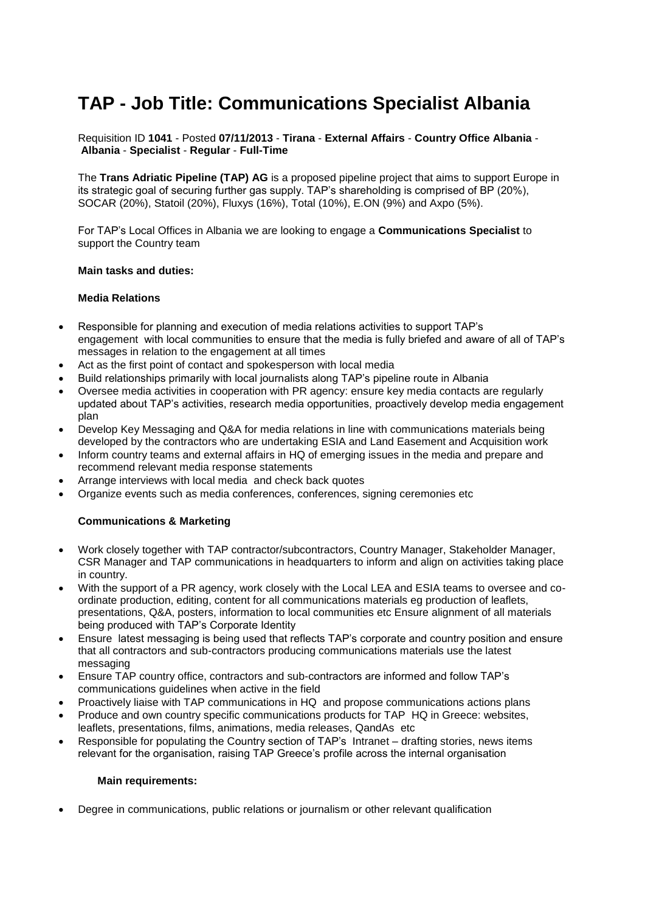# **TAP - Job Title: Communications Specialist Albania**

Requisition ID **1041** - Posted **07/11/2013** - **Tirana** - **External Affairs** - **Country Office Albania** - **Albania** - **Specialist** - **Regular** - **Full-Time**

The **Trans Adriatic Pipeline (TAP) AG** is a proposed pipeline project that aims to support Europe in its strategic goal of securing further gas supply. TAP's shareholding is comprised of BP (20%), SOCAR (20%), Statoil (20%), Fluxys (16%), Total (10%), E.ON (9%) and Axpo (5%).

For TAP's Local Offices in Albania we are looking to engage a **Communications Specialist** to support the Country team

### **Main tasks and duties:**

## **Media Relations**

- Responsible for planning and execution of media relations activities to support TAP's engagement with local communities to ensure that the media is fully briefed and aware of all of TAP's messages in relation to the engagement at all times
- Act as the first point of contact and spokesperson with local media
- Build relationships primarily with local journalists along TAP's pipeline route in Albania
- Oversee media activities in cooperation with PR agency: ensure key media contacts are regularly updated about TAP's activities, research media opportunities, proactively develop media engagement plan
- Develop Key Messaging and Q&A for media relations in line with communications materials being developed by the contractors who are undertaking ESIA and Land Easement and Acquisition work
- Inform country teams and external affairs in HQ of emerging issues in the media and prepare and recommend relevant media response statements
- Arrange interviews with local media and check back quotes
- Organize events such as media conferences, conferences, signing ceremonies etc

# **Communications & Marketing**

- Work closely together with TAP contractor/subcontractors, Country Manager, Stakeholder Manager, CSR Manager and TAP communications in headquarters to inform and align on activities taking place in country.
- With the support of a PR agency, work closely with the Local LEA and ESIA teams to oversee and coordinate production, editing, content for all communications materials eg production of leaflets, presentations, Q&A, posters, information to local communities etc Ensure alignment of all materials being produced with TAP's Corporate Identity
- Ensure latest messaging is being used that reflects TAP's corporate and country position and ensure that all contractors and sub-contractors producing communications materials use the latest messaging
- Ensure TAP country office, contractors and sub-contractors are informed and follow TAP's communications guidelines when active in the field
- Proactively liaise with TAP communications in HQ and propose communications actions plans
- Produce and own country specific communications products for TAP HQ in Greece: websites, leaflets, presentations, films, animations, media releases, QandAs etc
- Responsible for populating the Country section of TAP's Intranet drafting stories, news items relevant for the organisation, raising TAP Greece's profile across the internal organisation

### **Main requirements:**

Degree in communications, public relations or journalism or other relevant qualification